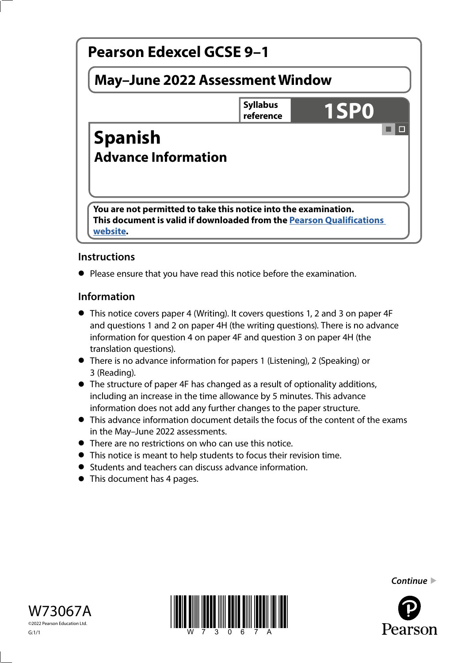

# **Instructions**

**•** Please ensure that you have read this notice before the examination.

## **Information**

- This notice covers paper 4 (Writing). It covers questions 1, 2 and 3 on paper 4F and questions 1 and 2 on paper 4H (the writing questions). There is no advance information for question 4 on paper 4F and question 3 on paper 4H (the translation questions).
- There is no advance information for papers 1 (Listening), 2 (Speaking) or 3 (Reading).
- The structure of paper 4F has changed as a result of optionality additions, including an increase in the time allowance by 5 minutes. This advance information does not add any further changes to the paper structure.
- This advance information document details the focus of the content of the exams in the May–June 2022 assessments.
- There are no restrictions on who can use this notice.
- This notice is meant to help students to focus their revision time.
- Students and teachers can discuss advance information.
- This document has 4 pages.





*Continue* 

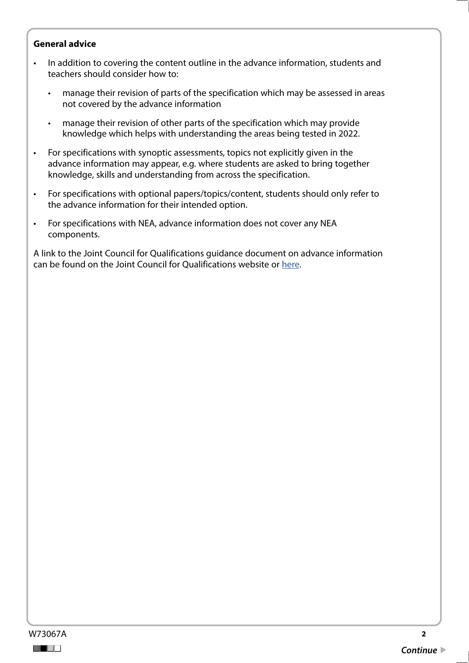#### **General advice**

- In addition to covering the content outline in the advance information, students and teachers should consider how to:
	- manage their revision of parts of the specification which may be assessed in areas not covered by the advance information
	- manage their revision of other parts of the specification which may provide knowledge which helps with understanding the areas being tested in 2022.
- For specifications with synoptic assessments, topics not explicitly given in the advance information may appear, e.g. where students are asked to bring together knowledge, skills and understanding from across the specification.
- For specifications with optional papers/topics/content, students should only refer to the advance information for their intended option.
- For specifications with NEA, advance information does not cover any NEA components.

A link to the Joint Council for Qualifications guidance document on advance information can be found on the Joint Council for Qualifications website or [here](https://www.jcq.org.uk/wp-content/uploads/2021/10/Advance-Information-for-General-Qualifications-2021-22.pdf).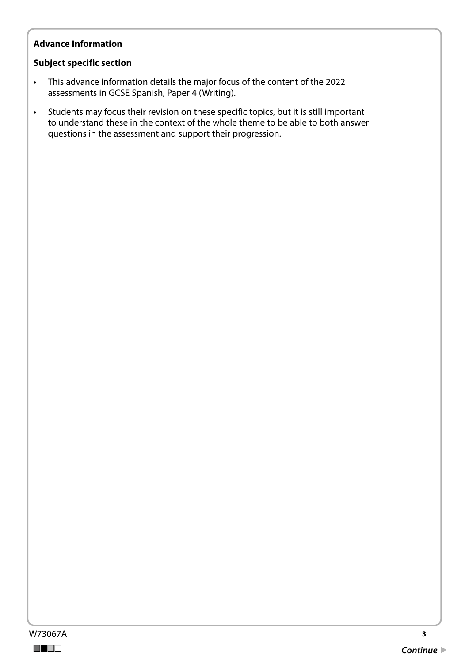# **Advance Information**

#### **Subject specific section**

- This advance information details the major focus of the content of the 2022 assessments in GCSE Spanish, Paper 4 (Writing).
- Students may focus their revision on these specific topics, but it is still important to understand these in the context of the whole theme to be able to both answer questions in the assessment and support their progression.